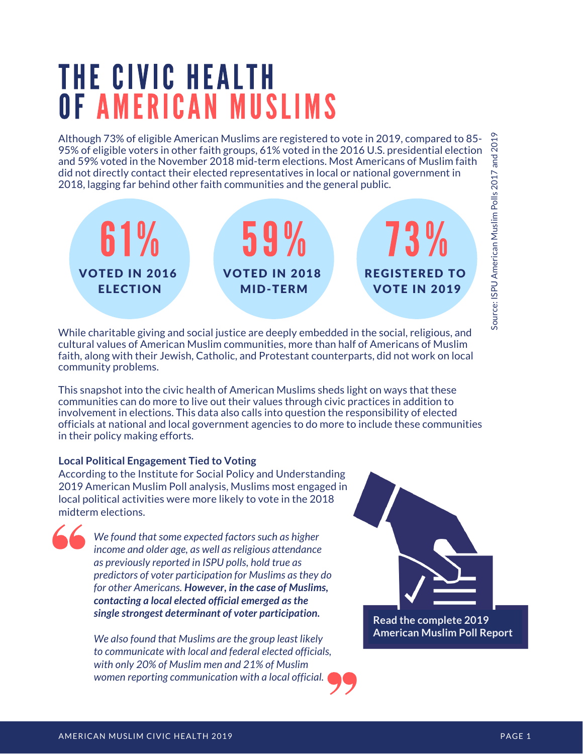## THE CIVIC HEALTH OF AMERICAN MUSLIMS

Although 73% of eligible American Muslims are registered to vote in 2019, compared to 85- 95% of eligible voters in other faith groups, 61% voted in the 2016 U.S. presidential election and 59% voted in the November 2018 mid-term elections. Most Americans of Muslim faith did not directly contact their elected representatives in local or national government in 2018, lagging far behind other faith communities and the general public.



While charitable giving and social justice are deeply embedded in the social, religious, and cultural values of American Muslim communities, more than half of Americans of Muslim faith, along with their Jewish, Catholic, and Protestant counterparts, did not work on local community problems.

This snapshot into the civic health of American Muslims sheds light on ways that these communities can do more to live out their values through civic practices in addition to involvement in elections. This data also calls into question the responsibility of elected officials at national and local government agencies to do more to include these communities in their policy making efforts.

#### **Local Political Engagement Tied to Voting**

According to the Institute for Social Policy and Understanding 2019 American Muslim Poll analysis, Muslims most engaged in local political activities were more likely to vote in the 2018 midterm elections.

*We found that some expected factors such as higher income and older age, as well as religious attendance as previously reported in ISPU polls, hold true as predictors of voter participation for Muslims as they do for other Americans. However, in the case of Muslims, contacting a local elected official emerged as the single strongest determinant of voter participation.*

*We also found that Muslims are the group least likely to communicate with local and federal elected officials, with only 20% of Muslim men and 21% of Muslim women reporting communication with a local official.*

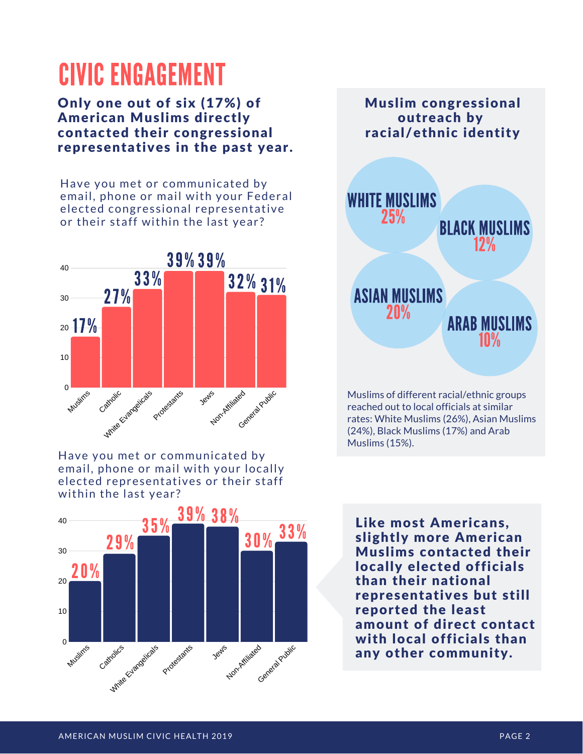## **CIVIC ENGAGEMENT**

Only one out of six (17%) of American Muslims directly contacted their congressional representatives in the past year.

Have you met or communicated by email, phone or mail with your Federal elected congressional representative or their staff within the last year?



Have you met or communicated by email, phone or mail with your locally elected representatives or their staff within the last year?





Muslims of different racial/ethnic groups reached out to local officials at similar rates: White Muslims (26%), Asian Muslims (24%), Black Muslims (17%) and Arab Muslims (15%).

Like most Americans, slightly more American Muslims contacted their locally elected officials than their national representatives but still reported the least amount of direct contact with local officials than any other community.